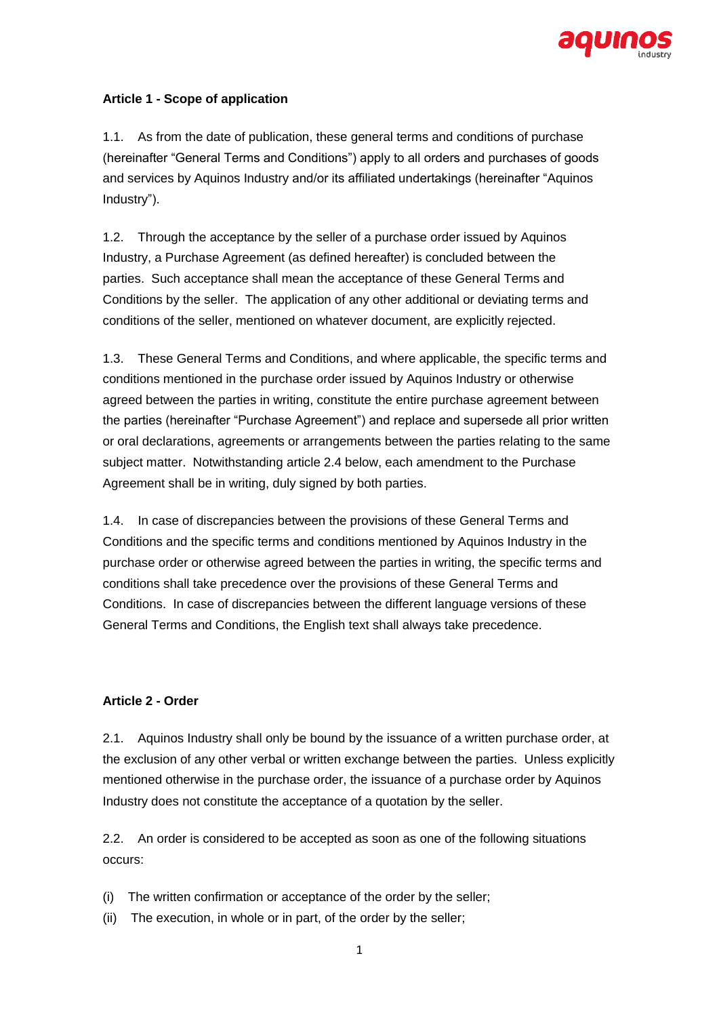

# **Article 1 - Scope of application**

1.1. As from the date of publication, these general terms and conditions of purchase (hereinafter "General Terms and Conditions") apply to all orders and purchases of goods and services by Aquinos Industry and/or its affiliated undertakings (hereinafter "Aquinos Industry").

1.2. Through the acceptance by the seller of a purchase order issued by Aquinos Industry, a Purchase Agreement (as defined hereafter) is concluded between the parties. Such acceptance shall mean the acceptance of these General Terms and Conditions by the seller. The application of any other additional or deviating terms and conditions of the seller, mentioned on whatever document, are explicitly rejected.

1.3. These General Terms and Conditions, and where applicable, the specific terms and conditions mentioned in the purchase order issued by Aquinos Industry or otherwise agreed between the parties in writing, constitute the entire purchase agreement between the parties (hereinafter "Purchase Agreement") and replace and supersede all prior written or oral declarations, agreements or arrangements between the parties relating to the same subject matter. Notwithstanding article 2.4 below, each amendment to the Purchase Agreement shall be in writing, duly signed by both parties.

1.4. In case of discrepancies between the provisions of these General Terms and Conditions and the specific terms and conditions mentioned by Aquinos Industry in the purchase order or otherwise agreed between the parties in writing, the specific terms and conditions shall take precedence over the provisions of these General Terms and Conditions. In case of discrepancies between the different language versions of these General Terms and Conditions, the English text shall always take precedence.

#### **Article 2 - Order**

2.1. Aquinos Industry shall only be bound by the issuance of a written purchase order, at the exclusion of any other verbal or written exchange between the parties. Unless explicitly mentioned otherwise in the purchase order, the issuance of a purchase order by Aquinos Industry does not constitute the acceptance of a quotation by the seller.

2.2. An order is considered to be accepted as soon as one of the following situations occurs:

- (i) The written confirmation or acceptance of the order by the seller;
- (ii) The execution, in whole or in part, of the order by the seller;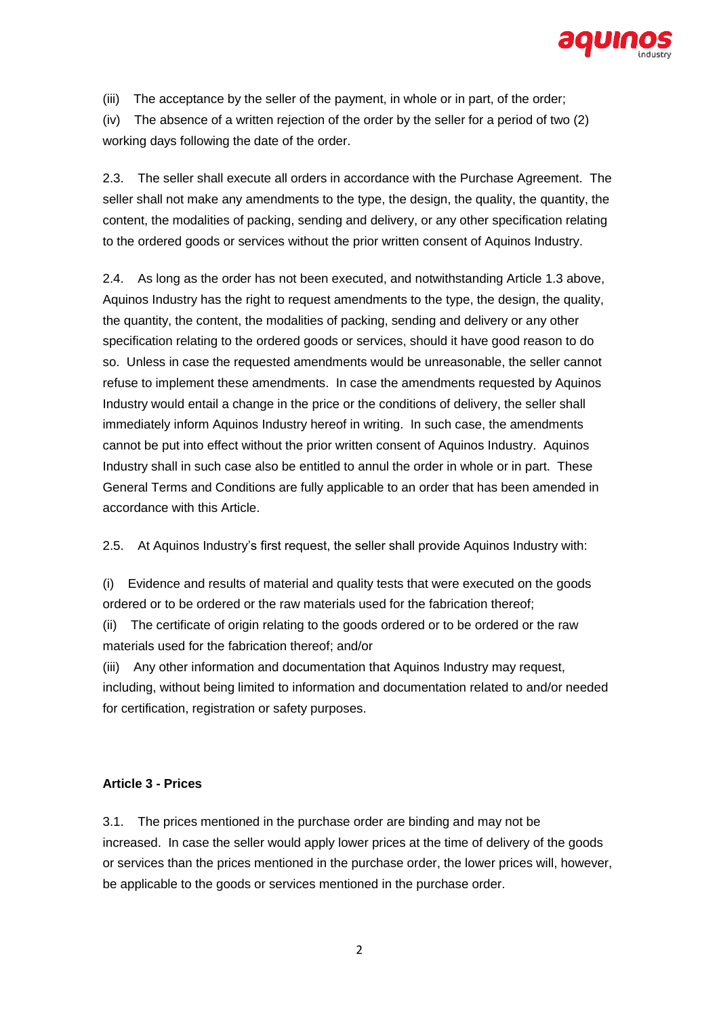

(iii) The acceptance by the seller of the payment, in whole or in part, of the order;

(iv) The absence of a written rejection of the order by the seller for a period of two (2) working days following the date of the order.

2.3. The seller shall execute all orders in accordance with the Purchase Agreement. The seller shall not make any amendments to the type, the design, the quality, the quantity, the content, the modalities of packing, sending and delivery, or any other specification relating to the ordered goods or services without the prior written consent of Aquinos Industry.

2.4. As long as the order has not been executed, and notwithstanding Article 1.3 above, Aquinos Industry has the right to request amendments to the type, the design, the quality, the quantity, the content, the modalities of packing, sending and delivery or any other specification relating to the ordered goods or services, should it have good reason to do so. Unless in case the requested amendments would be unreasonable, the seller cannot refuse to implement these amendments. In case the amendments requested by Aquinos Industry would entail a change in the price or the conditions of delivery, the seller shall immediately inform Aquinos Industry hereof in writing. In such case, the amendments cannot be put into effect without the prior written consent of Aquinos Industry. Aquinos Industry shall in such case also be entitled to annul the order in whole or in part. These General Terms and Conditions are fully applicable to an order that has been amended in accordance with this Article.

2.5. At Aquinos Industry's first request, the seller shall provide Aquinos Industry with:

(i) Evidence and results of material and quality tests that were executed on the goods ordered or to be ordered or the raw materials used for the fabrication thereof;

(ii) The certificate of origin relating to the goods ordered or to be ordered or the raw materials used for the fabrication thereof; and/or

(iii) Any other information and documentation that Aquinos Industry may request, including, without being limited to information and documentation related to and/or needed for certification, registration or safety purposes.

#### **Article 3 - Prices**

3.1. The prices mentioned in the purchase order are binding and may not be increased. In case the seller would apply lower prices at the time of delivery of the goods or services than the prices mentioned in the purchase order, the lower prices will, however, be applicable to the goods or services mentioned in the purchase order.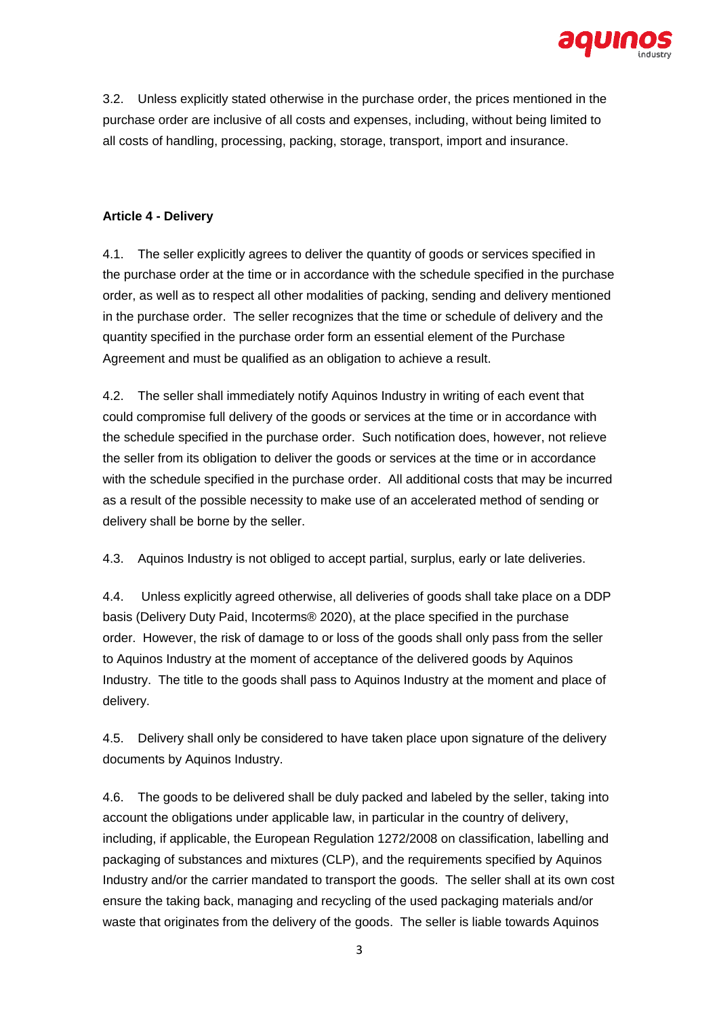

3.2. Unless explicitly stated otherwise in the purchase order, the prices mentioned in the purchase order are inclusive of all costs and expenses, including, without being limited to all costs of handling, processing, packing, storage, transport, import and insurance.

# **Article 4 - Delivery**

4.1. The seller explicitly agrees to deliver the quantity of goods or services specified in the purchase order at the time or in accordance with the schedule specified in the purchase order, as well as to respect all other modalities of packing, sending and delivery mentioned in the purchase order. The seller recognizes that the time or schedule of delivery and the quantity specified in the purchase order form an essential element of the Purchase Agreement and must be qualified as an obligation to achieve a result.

4.2. The seller shall immediately notify Aquinos Industry in writing of each event that could compromise full delivery of the goods or services at the time or in accordance with the schedule specified in the purchase order. Such notification does, however, not relieve the seller from its obligation to deliver the goods or services at the time or in accordance with the schedule specified in the purchase order. All additional costs that may be incurred as a result of the possible necessity to make use of an accelerated method of sending or delivery shall be borne by the seller.

4.3. Aquinos Industry is not obliged to accept partial, surplus, early or late deliveries.

4.4. Unless explicitly agreed otherwise, all deliveries of goods shall take place on a DDP basis (Delivery Duty Paid, Incoterms® 2020), at the place specified in the purchase order. However, the risk of damage to or loss of the goods shall only pass from the seller to Aquinos Industry at the moment of acceptance of the delivered goods by Aquinos Industry. The title to the goods shall pass to Aquinos Industry at the moment and place of delivery.

4.5. Delivery shall only be considered to have taken place upon signature of the delivery documents by Aquinos Industry.

4.6. The goods to be delivered shall be duly packed and labeled by the seller, taking into account the obligations under applicable law, in particular in the country of delivery, including, if applicable, the European Regulation 1272/2008 on classification, labelling and packaging of substances and mixtures (CLP), and the requirements specified by Aquinos Industry and/or the carrier mandated to transport the goods. The seller shall at its own cost ensure the taking back, managing and recycling of the used packaging materials and/or waste that originates from the delivery of the goods. The seller is liable towards Aquinos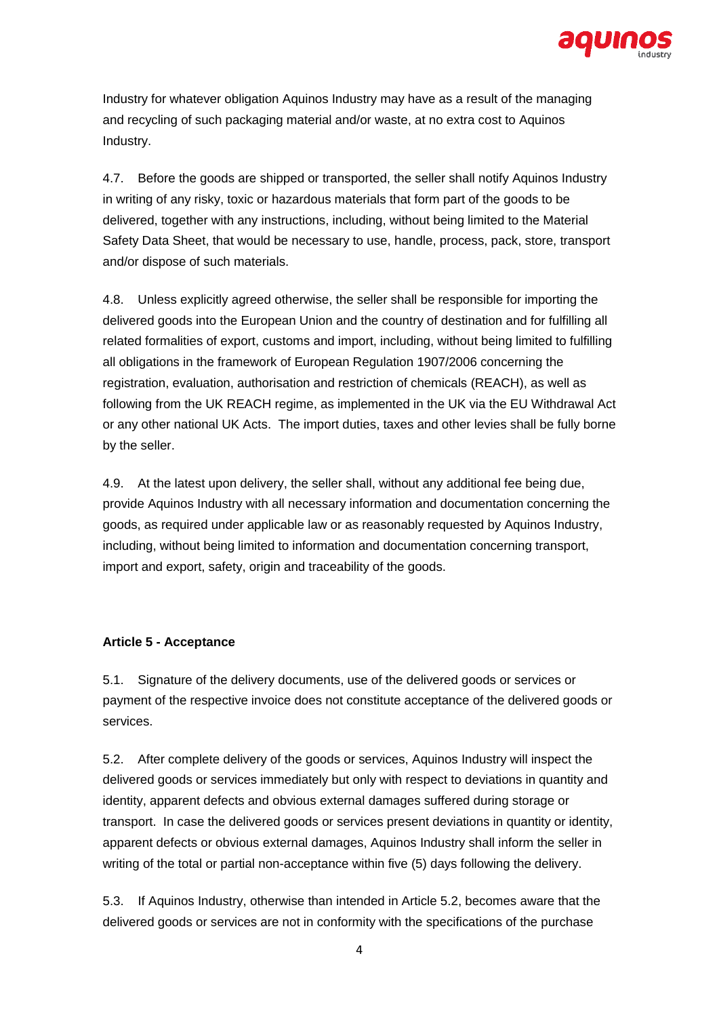

Industry for whatever obligation Aquinos Industry may have as a result of the managing and recycling of such packaging material and/or waste, at no extra cost to Aquinos Industry.

4.7. Before the goods are shipped or transported, the seller shall notify Aquinos Industry in writing of any risky, toxic or hazardous materials that form part of the goods to be delivered, together with any instructions, including, without being limited to the Material Safety Data Sheet, that would be necessary to use, handle, process, pack, store, transport and/or dispose of such materials.

4.8. Unless explicitly agreed otherwise, the seller shall be responsible for importing the delivered goods into the European Union and the country of destination and for fulfilling all related formalities of export, customs and import, including, without being limited to fulfilling all obligations in the framework of European Regulation 1907/2006 concerning the registration, evaluation, authorisation and restriction of chemicals (REACH), as well as following from the UK REACH regime, as implemented in the UK via the EU Withdrawal Act or any other national UK Acts. The import duties, taxes and other levies shall be fully borne by the seller.

4.9. At the latest upon delivery, the seller shall, without any additional fee being due, provide Aquinos Industry with all necessary information and documentation concerning the goods, as required under applicable law or as reasonably requested by Aquinos Industry, including, without being limited to information and documentation concerning transport, import and export, safety, origin and traceability of the goods.

# **Article 5 - Acceptance**

5.1. Signature of the delivery documents, use of the delivered goods or services or payment of the respective invoice does not constitute acceptance of the delivered goods or services.

5.2. After complete delivery of the goods or services, Aquinos Industry will inspect the delivered goods or services immediately but only with respect to deviations in quantity and identity, apparent defects and obvious external damages suffered during storage or transport. In case the delivered goods or services present deviations in quantity or identity, apparent defects or obvious external damages, Aquinos Industry shall inform the seller in writing of the total or partial non-acceptance within five (5) days following the delivery.

5.3. If Aquinos Industry, otherwise than intended in Article 5.2, becomes aware that the delivered goods or services are not in conformity with the specifications of the purchase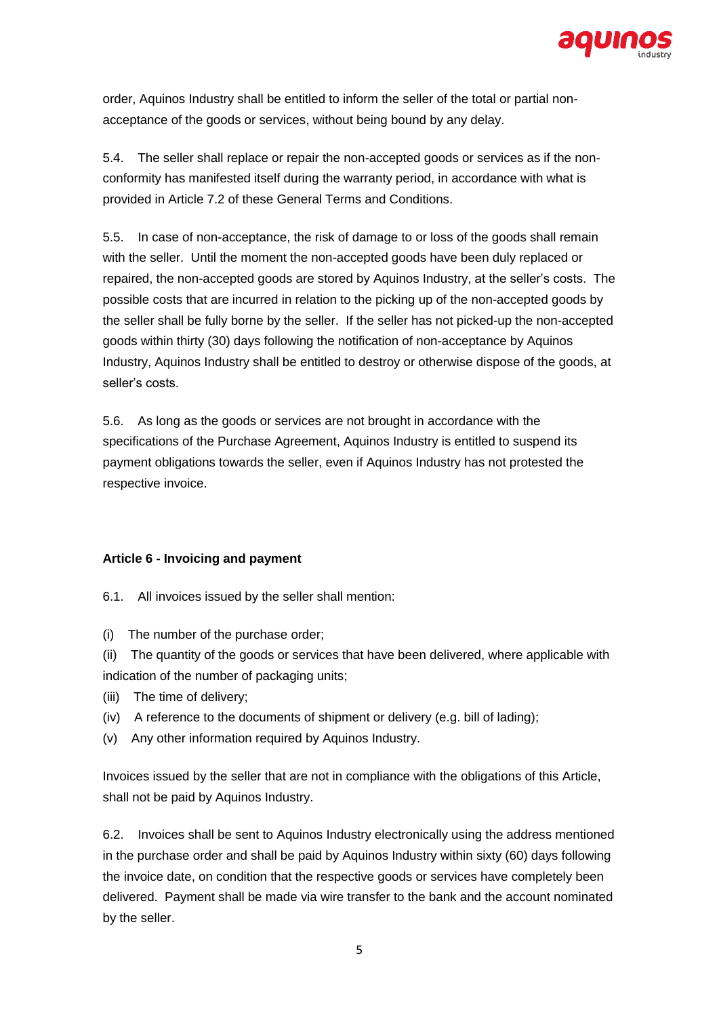

order, Aquinos Industry shall be entitled to inform the seller of the total or partial nonacceptance of the goods or services, without being bound by any delay.

5.4. The seller shall replace or repair the non-accepted goods or services as if the nonconformity has manifested itself during the warranty period, in accordance with what is provided in Article 7.2 of these General Terms and Conditions.

5.5. In case of non-acceptance, the risk of damage to or loss of the goods shall remain with the seller. Until the moment the non-accepted goods have been duly replaced or repaired, the non-accepted goods are stored by Aquinos Industry, at the seller's costs. The possible costs that are incurred in relation to the picking up of the non-accepted goods by the seller shall be fully borne by the seller. If the seller has not picked-up the non-accepted goods within thirty (30) days following the notification of non-acceptance by Aquinos Industry, Aquinos Industry shall be entitled to destroy or otherwise dispose of the goods, at seller's costs.

5.6. As long as the goods or services are not brought in accordance with the specifications of the Purchase Agreement, Aquinos Industry is entitled to suspend its payment obligations towards the seller, even if Aquinos Industry has not protested the respective invoice.

# **Article 6 - Invoicing and payment**

6.1. All invoices issued by the seller shall mention:

(i) The number of the purchase order;

(ii) The quantity of the goods or services that have been delivered, where applicable with indication of the number of packaging units;

- (iii) The time of delivery;
- (iv) A reference to the documents of shipment or delivery (e.g. bill of lading);
- (v) Any other information required by Aquinos Industry.

Invoices issued by the seller that are not in compliance with the obligations of this Article, shall not be paid by Aquinos Industry.

6.2. Invoices shall be sent to Aquinos Industry electronically using the address mentioned in the purchase order and shall be paid by Aquinos Industry within sixty (60) days following the invoice date, on condition that the respective goods or services have completely been delivered. Payment shall be made via wire transfer to the bank and the account nominated by the seller.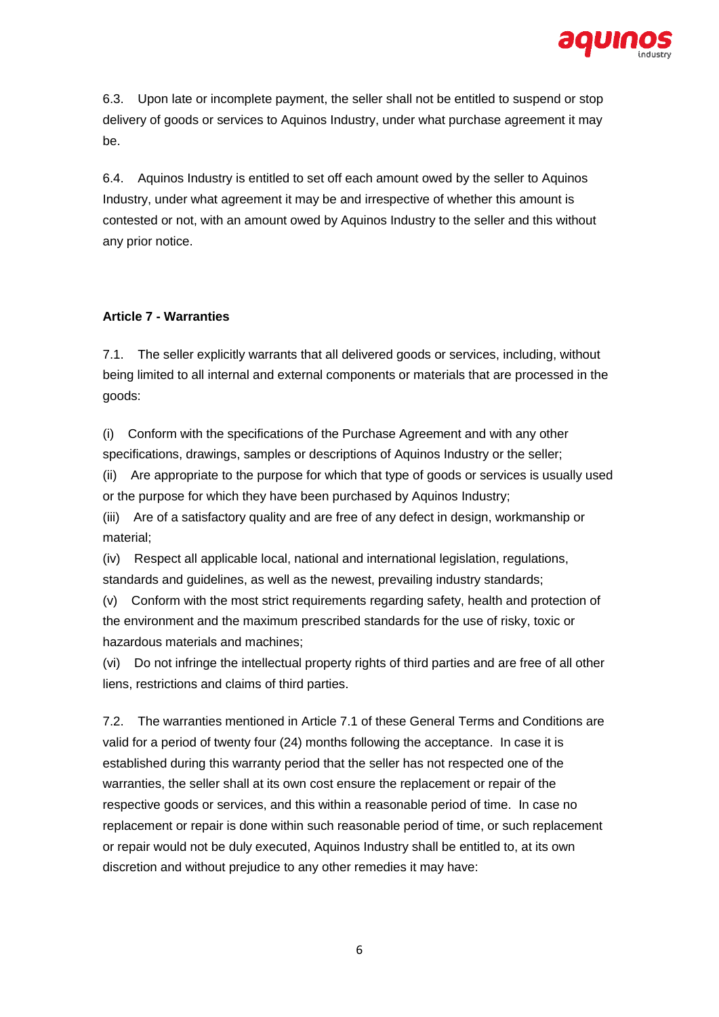

6.3. Upon late or incomplete payment, the seller shall not be entitled to suspend or stop delivery of goods or services to Aquinos Industry, under what purchase agreement it may be.

6.4. Aquinos Industry is entitled to set off each amount owed by the seller to Aquinos Industry, under what agreement it may be and irrespective of whether this amount is contested or not, with an amount owed by Aquinos Industry to the seller and this without any prior notice.

# **Article 7 - Warranties**

7.1. The seller explicitly warrants that all delivered goods or services, including, without being limited to all internal and external components or materials that are processed in the goods:

(i) Conform with the specifications of the Purchase Agreement and with any other specifications, drawings, samples or descriptions of Aquinos Industry or the seller;

(ii) Are appropriate to the purpose for which that type of goods or services is usually used or the purpose for which they have been purchased by Aquinos Industry;

(iii) Are of a satisfactory quality and are free of any defect in design, workmanship or material;

(iv) Respect all applicable local, national and international legislation, regulations, standards and guidelines, as well as the newest, prevailing industry standards;

(v) Conform with the most strict requirements regarding safety, health and protection of the environment and the maximum prescribed standards for the use of risky, toxic or hazardous materials and machines;

(vi) Do not infringe the intellectual property rights of third parties and are free of all other liens, restrictions and claims of third parties.

7.2. The warranties mentioned in Article 7.1 of these General Terms and Conditions are valid for a period of twenty four (24) months following the acceptance. In case it is established during this warranty period that the seller has not respected one of the warranties, the seller shall at its own cost ensure the replacement or repair of the respective goods or services, and this within a reasonable period of time. In case no replacement or repair is done within such reasonable period of time, or such replacement or repair would not be duly executed, Aquinos Industry shall be entitled to, at its own discretion and without prejudice to any other remedies it may have: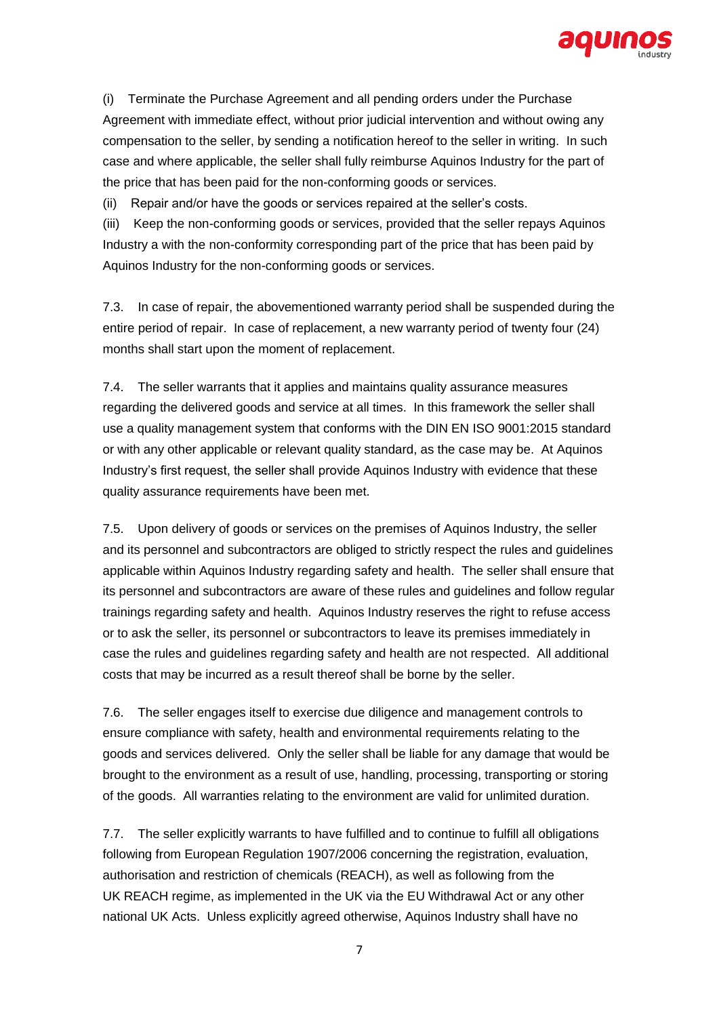

(i) Terminate the Purchase Agreement and all pending orders under the Purchase Agreement with immediate effect, without prior judicial intervention and without owing any compensation to the seller, by sending a notification hereof to the seller in writing. In such case and where applicable, the seller shall fully reimburse Aquinos Industry for the part of the price that has been paid for the non-conforming goods or services.

(ii) Repair and/or have the goods or services repaired at the seller's costs.

(iii) Keep the non-conforming goods or services, provided that the seller repays Aquinos Industry a with the non-conformity corresponding part of the price that has been paid by Aquinos Industry for the non-conforming goods or services.

7.3. In case of repair, the abovementioned warranty period shall be suspended during the entire period of repair. In case of replacement, a new warranty period of twenty four (24) months shall start upon the moment of replacement.

7.4. The seller warrants that it applies and maintains quality assurance measures regarding the delivered goods and service at all times. In this framework the seller shall use a quality management system that conforms with the DIN EN ISO 9001:2015 standard or with any other applicable or relevant quality standard, as the case may be. At Aquinos Industry's first request, the seller shall provide Aquinos Industry with evidence that these quality assurance requirements have been met.

7.5. Upon delivery of goods or services on the premises of Aquinos Industry, the seller and its personnel and subcontractors are obliged to strictly respect the rules and guidelines applicable within Aquinos Industry regarding safety and health. The seller shall ensure that its personnel and subcontractors are aware of these rules and guidelines and follow regular trainings regarding safety and health. Aquinos Industry reserves the right to refuse access or to ask the seller, its personnel or subcontractors to leave its premises immediately in case the rules and guidelines regarding safety and health are not respected. All additional costs that may be incurred as a result thereof shall be borne by the seller.

7.6. The seller engages itself to exercise due diligence and management controls to ensure compliance with safety, health and environmental requirements relating to the goods and services delivered. Only the seller shall be liable for any damage that would be brought to the environment as a result of use, handling, processing, transporting or storing of the goods. All warranties relating to the environment are valid for unlimited duration.

7.7. The seller explicitly warrants to have fulfilled and to continue to fulfill all obligations following from European Regulation 1907/2006 concerning the registration, evaluation, authorisation and restriction of chemicals (REACH), as well as following from the UK REACH regime, as implemented in the UK via the EU Withdrawal Act or any other national UK Acts. Unless explicitly agreed otherwise, Aquinos Industry shall have no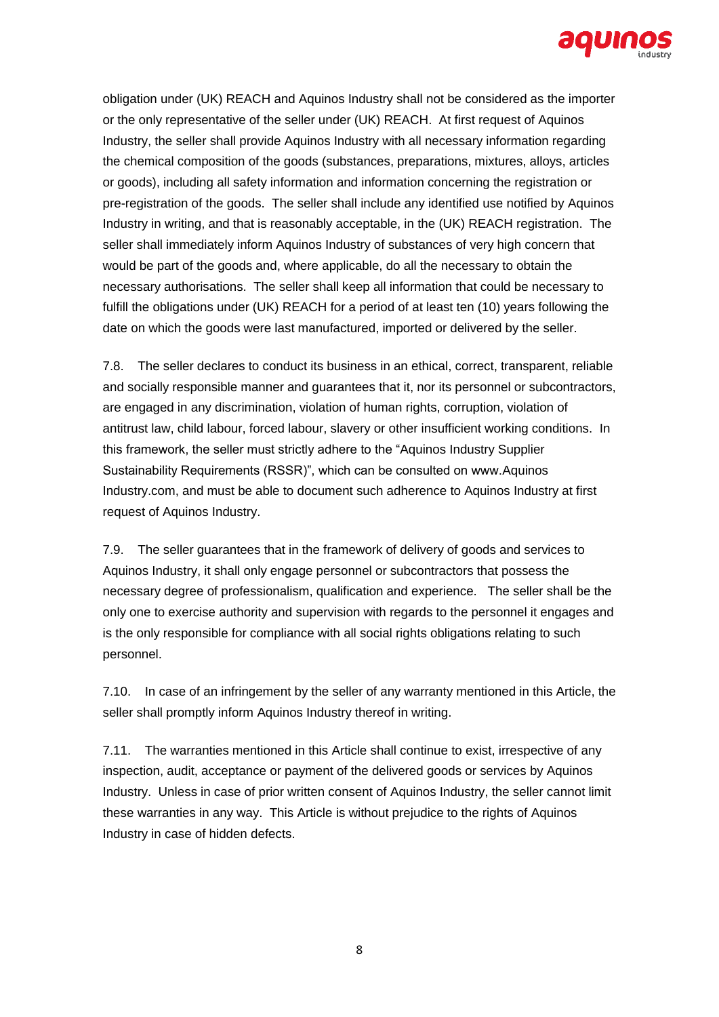

obligation under (UK) REACH and Aquinos Industry shall not be considered as the importer or the only representative of the seller under (UK) REACH. At first request of Aquinos Industry, the seller shall provide Aquinos Industry with all necessary information regarding the chemical composition of the goods (substances, preparations, mixtures, alloys, articles or goods), including all safety information and information concerning the registration or pre-registration of the goods. The seller shall include any identified use notified by Aquinos Industry in writing, and that is reasonably acceptable, in the (UK) REACH registration. The seller shall immediately inform Aquinos Industry of substances of very high concern that would be part of the goods and, where applicable, do all the necessary to obtain the necessary authorisations. The seller shall keep all information that could be necessary to fulfill the obligations under (UK) REACH for a period of at least ten (10) years following the date on which the goods were last manufactured, imported or delivered by the seller.

7.8. The seller declares to conduct its business in an ethical, correct, transparent, reliable and socially responsible manner and guarantees that it, nor its personnel or subcontractors, are engaged in any discrimination, violation of human rights, corruption, violation of antitrust law, child labour, forced labour, slavery or other insufficient working conditions. In this framework, the seller must strictly adhere to the "Aquinos Industry Supplier Sustainability Requirements (RSSR)", which can be consulted on www.Aquinos Industry.com, and must be able to document such adherence to Aquinos Industry at first request of Aquinos Industry.

7.9. The seller guarantees that in the framework of delivery of goods and services to Aquinos Industry, it shall only engage personnel or subcontractors that possess the necessary degree of professionalism, qualification and experience. The seller shall be the only one to exercise authority and supervision with regards to the personnel it engages and is the only responsible for compliance with all social rights obligations relating to such personnel.

7.10. In case of an infringement by the seller of any warranty mentioned in this Article, the seller shall promptly inform Aquinos Industry thereof in writing.

7.11. The warranties mentioned in this Article shall continue to exist, irrespective of any inspection, audit, acceptance or payment of the delivered goods or services by Aquinos Industry. Unless in case of prior written consent of Aquinos Industry, the seller cannot limit these warranties in any way. This Article is without prejudice to the rights of Aquinos Industry in case of hidden defects.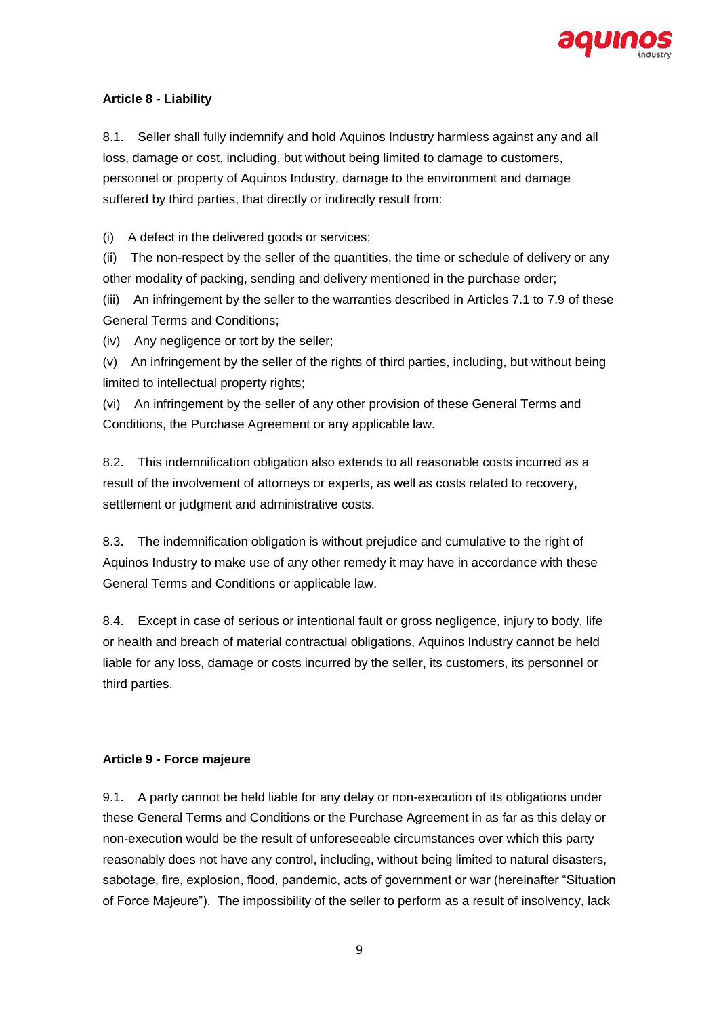

# **Article 8 - Liability**

8.1. Seller shall fully indemnify and hold Aquinos Industry harmless against any and all loss, damage or cost, including, but without being limited to damage to customers, personnel or property of Aquinos Industry, damage to the environment and damage suffered by third parties, that directly or indirectly result from:

(i) A defect in the delivered goods or services;

(ii) The non-respect by the seller of the quantities, the time or schedule of delivery or any other modality of packing, sending and delivery mentioned in the purchase order;

(iii) An infringement by the seller to the warranties described in Articles 7.1 to 7.9 of these General Terms and Conditions;

(iv) Any negligence or tort by the seller;

(v) An infringement by the seller of the rights of third parties, including, but without being limited to intellectual property rights;

(vi) An infringement by the seller of any other provision of these General Terms and Conditions, the Purchase Agreement or any applicable law.

8.2. This indemnification obligation also extends to all reasonable costs incurred as a result of the involvement of attorneys or experts, as well as costs related to recovery, settlement or judgment and administrative costs.

8.3. The indemnification obligation is without prejudice and cumulative to the right of Aquinos Industry to make use of any other remedy it may have in accordance with these General Terms and Conditions or applicable law.

8.4. Except in case of serious or intentional fault or gross negligence, injury to body, life or health and breach of material contractual obligations, Aquinos Industry cannot be held liable for any loss, damage or costs incurred by the seller, its customers, its personnel or third parties.

#### **Article 9 - Force majeure**

9.1. A party cannot be held liable for any delay or non-execution of its obligations under these General Terms and Conditions or the Purchase Agreement in as far as this delay or non-execution would be the result of unforeseeable circumstances over which this party reasonably does not have any control, including, without being limited to natural disasters, sabotage, fire, explosion, flood, pandemic, acts of government or war (hereinafter "Situation of Force Majeure"). The impossibility of the seller to perform as a result of insolvency, lack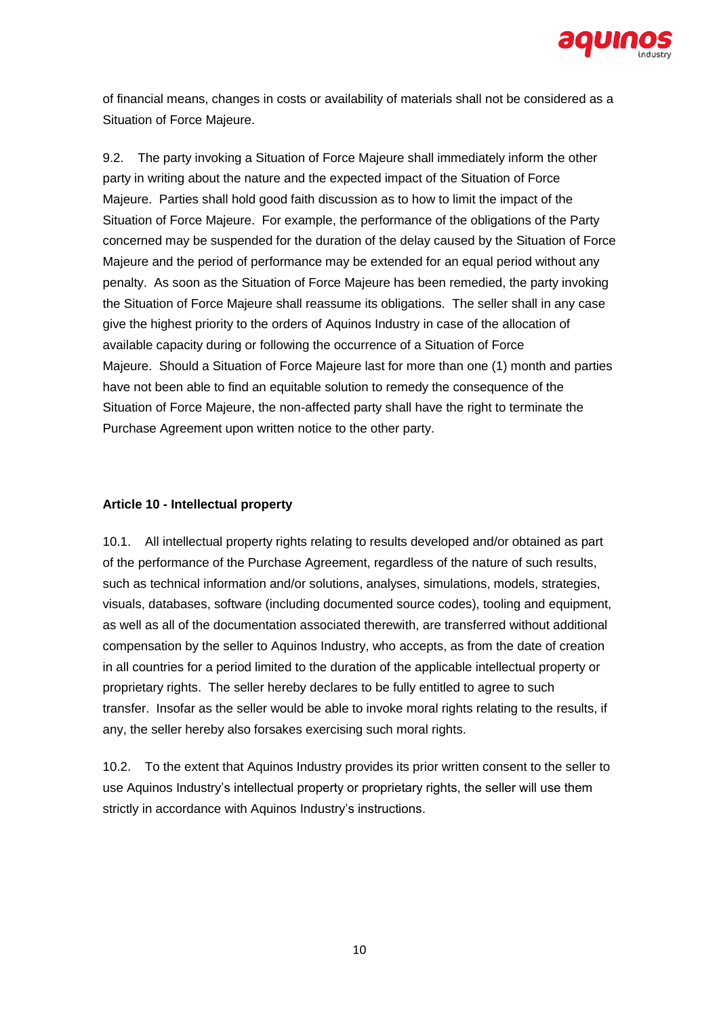

of financial means, changes in costs or availability of materials shall not be considered as a Situation of Force Majeure.

9.2. The party invoking a Situation of Force Majeure shall immediately inform the other party in writing about the nature and the expected impact of the Situation of Force Majeure. Parties shall hold good faith discussion as to how to limit the impact of the Situation of Force Majeure. For example, the performance of the obligations of the Party concerned may be suspended for the duration of the delay caused by the Situation of Force Majeure and the period of performance may be extended for an equal period without any penalty. As soon as the Situation of Force Majeure has been remedied, the party invoking the Situation of Force Majeure shall reassume its obligations. The seller shall in any case give the highest priority to the orders of Aquinos Industry in case of the allocation of available capacity during or following the occurrence of a Situation of Force Majeure. Should a Situation of Force Majeure last for more than one (1) month and parties have not been able to find an equitable solution to remedy the consequence of the Situation of Force Majeure, the non-affected party shall have the right to terminate the Purchase Agreement upon written notice to the other party.

# **Article 10 - Intellectual property**

10.1. All intellectual property rights relating to results developed and/or obtained as part of the performance of the Purchase Agreement, regardless of the nature of such results, such as technical information and/or solutions, analyses, simulations, models, strategies, visuals, databases, software (including documented source codes), tooling and equipment, as well as all of the documentation associated therewith, are transferred without additional compensation by the seller to Aquinos Industry, who accepts, as from the date of creation in all countries for a period limited to the duration of the applicable intellectual property or proprietary rights. The seller hereby declares to be fully entitled to agree to such transfer. Insofar as the seller would be able to invoke moral rights relating to the results, if any, the seller hereby also forsakes exercising such moral rights.

10.2. To the extent that Aquinos Industry provides its prior written consent to the seller to use Aquinos Industry's intellectual property or proprietary rights, the seller will use them strictly in accordance with Aquinos Industry's instructions.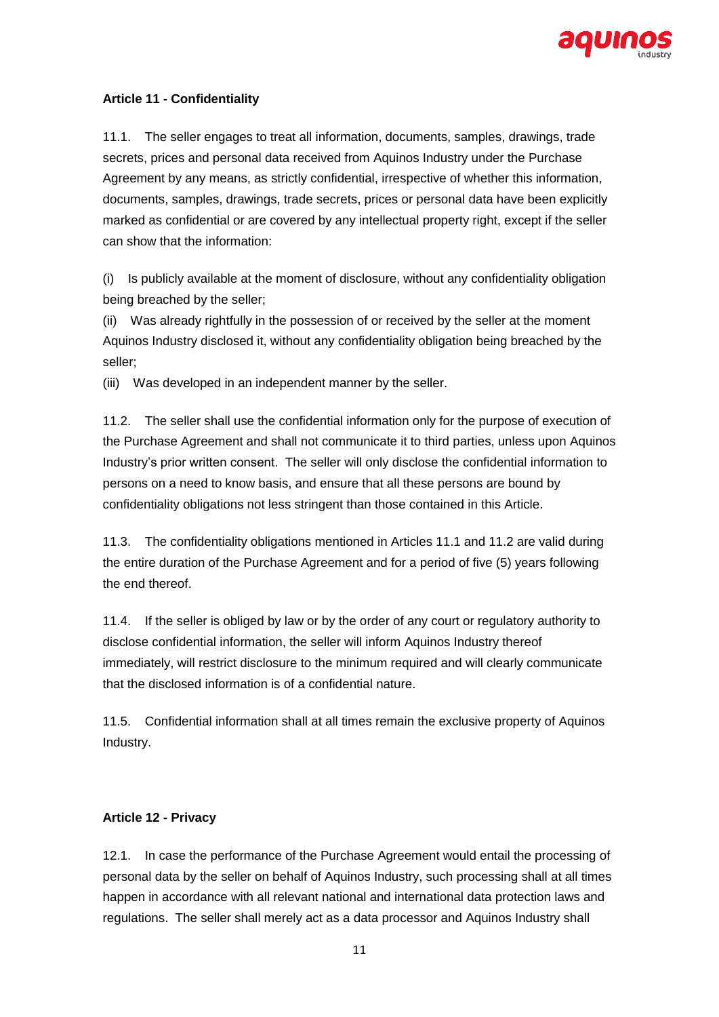

# **Article 11 - Confidentiality**

11.1. The seller engages to treat all information, documents, samples, drawings, trade secrets, prices and personal data received from Aquinos Industry under the Purchase Agreement by any means, as strictly confidential, irrespective of whether this information, documents, samples, drawings, trade secrets, prices or personal data have been explicitly marked as confidential or are covered by any intellectual property right, except if the seller can show that the information:

(i) Is publicly available at the moment of disclosure, without any confidentiality obligation being breached by the seller;

(ii) Was already rightfully in the possession of or received by the seller at the moment Aquinos Industry disclosed it, without any confidentiality obligation being breached by the seller;

(iii) Was developed in an independent manner by the seller.

11.2. The seller shall use the confidential information only for the purpose of execution of the Purchase Agreement and shall not communicate it to third parties, unless upon Aquinos Industry's prior written consent. The seller will only disclose the confidential information to persons on a need to know basis, and ensure that all these persons are bound by confidentiality obligations not less stringent than those contained in this Article.

11.3. The confidentiality obligations mentioned in Articles 11.1 and 11.2 are valid during the entire duration of the Purchase Agreement and for a period of five (5) years following the end thereof.

11.4. If the seller is obliged by law or by the order of any court or regulatory authority to disclose confidential information, the seller will inform Aquinos Industry thereof immediately, will restrict disclosure to the minimum required and will clearly communicate that the disclosed information is of a confidential nature.

11.5. Confidential information shall at all times remain the exclusive property of Aquinos Industry.

#### **Article 12 - Privacy**

12.1. In case the performance of the Purchase Agreement would entail the processing of personal data by the seller on behalf of Aquinos Industry, such processing shall at all times happen in accordance with all relevant national and international data protection laws and regulations. The seller shall merely act as a data processor and Aquinos Industry shall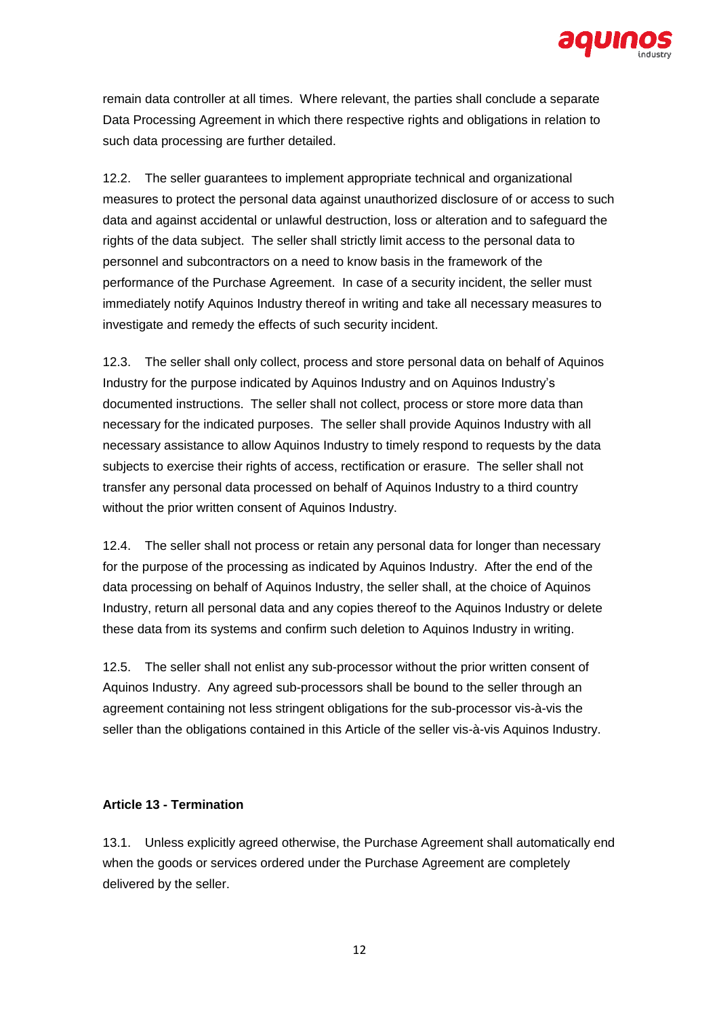

remain data controller at all times. Where relevant, the parties shall conclude a separate Data Processing Agreement in which there respective rights and obligations in relation to such data processing are further detailed.

12.2. The seller guarantees to implement appropriate technical and organizational measures to protect the personal data against unauthorized disclosure of or access to such data and against accidental or unlawful destruction, loss or alteration and to safeguard the rights of the data subject. The seller shall strictly limit access to the personal data to personnel and subcontractors on a need to know basis in the framework of the performance of the Purchase Agreement. In case of a security incident, the seller must immediately notify Aquinos Industry thereof in writing and take all necessary measures to investigate and remedy the effects of such security incident.

12.3. The seller shall only collect, process and store personal data on behalf of Aquinos Industry for the purpose indicated by Aquinos Industry and on Aquinos Industry's documented instructions. The seller shall not collect, process or store more data than necessary for the indicated purposes. The seller shall provide Aquinos Industry with all necessary assistance to allow Aquinos Industry to timely respond to requests by the data subjects to exercise their rights of access, rectification or erasure. The seller shall not transfer any personal data processed on behalf of Aquinos Industry to a third country without the prior written consent of Aquinos Industry.

12.4. The seller shall not process or retain any personal data for longer than necessary for the purpose of the processing as indicated by Aquinos Industry. After the end of the data processing on behalf of Aquinos Industry, the seller shall, at the choice of Aquinos Industry, return all personal data and any copies thereof to the Aquinos Industry or delete these data from its systems and confirm such deletion to Aquinos Industry in writing.

12.5. The seller shall not enlist any sub-processor without the prior written consent of Aquinos Industry. Any agreed sub-processors shall be bound to the seller through an agreement containing not less stringent obligations for the sub-processor vis-à-vis the seller than the obligations contained in this Article of the seller vis-à-vis Aquinos Industry.

#### **Article 13 - Termination**

13.1. Unless explicitly agreed otherwise, the Purchase Agreement shall automatically end when the goods or services ordered under the Purchase Agreement are completely delivered by the seller.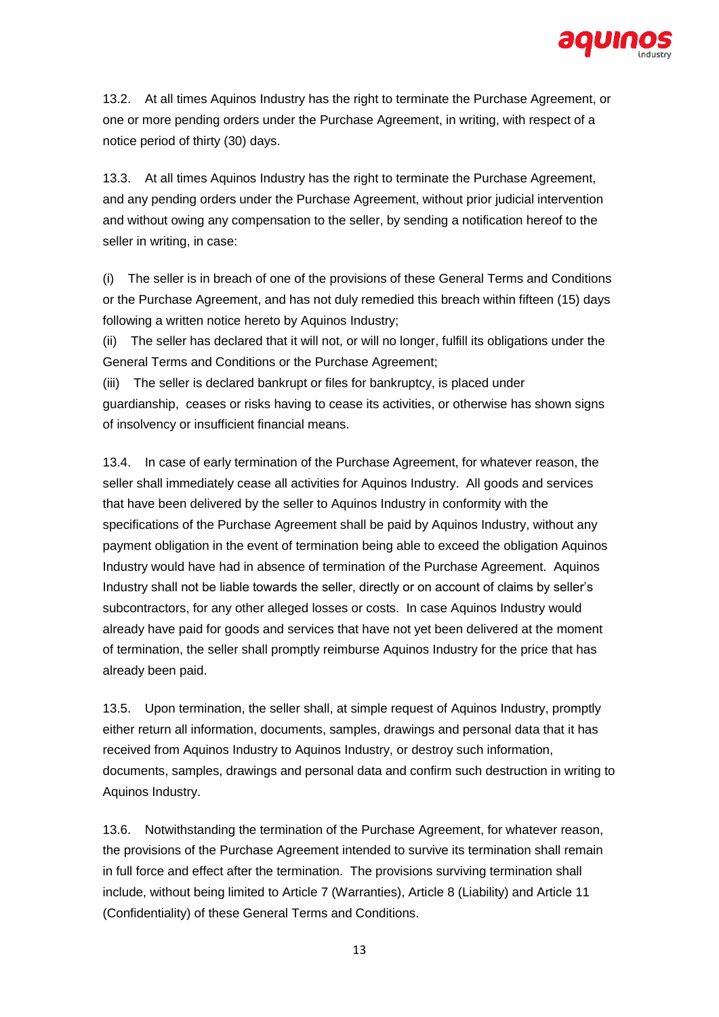

13.2. At all times Aquinos Industry has the right to terminate the Purchase Agreement, or one or more pending orders under the Purchase Agreement, in writing, with respect of a notice period of thirty (30) days.

13.3. At all times Aquinos Industry has the right to terminate the Purchase Agreement, and any pending orders under the Purchase Agreement, without prior judicial intervention and without owing any compensation to the seller, by sending a notification hereof to the seller in writing, in case:

(i) The seller is in breach of one of the provisions of these General Terms and Conditions or the Purchase Agreement, and has not duly remedied this breach within fifteen (15) days following a written notice hereto by Aquinos Industry;

(ii) The seller has declared that it will not, or will no longer, fulfill its obligations under the General Terms and Conditions or the Purchase Agreement;

(iii) The seller is declared bankrupt or files for bankruptcy, is placed under guardianship, ceases or risks having to cease its activities, or otherwise has shown signs of insolvency or insufficient financial means.

13.4. In case of early termination of the Purchase Agreement, for whatever reason, the seller shall immediately cease all activities for Aquinos Industry. All goods and services that have been delivered by the seller to Aquinos Industry in conformity with the specifications of the Purchase Agreement shall be paid by Aquinos Industry, without any payment obligation in the event of termination being able to exceed the obligation Aquinos Industry would have had in absence of termination of the Purchase Agreement. Aquinos Industry shall not be liable towards the seller, directly or on account of claims by seller's subcontractors, for any other alleged losses or costs. In case Aquinos Industry would already have paid for goods and services that have not yet been delivered at the moment of termination, the seller shall promptly reimburse Aquinos Industry for the price that has already been paid.

13.5. Upon termination, the seller shall, at simple request of Aquinos Industry, promptly either return all information, documents, samples, drawings and personal data that it has received from Aquinos Industry to Aquinos Industry, or destroy such information, documents, samples, drawings and personal data and confirm such destruction in writing to Aquinos Industry.

13.6. Notwithstanding the termination of the Purchase Agreement, for whatever reason, the provisions of the Purchase Agreement intended to survive its termination shall remain in full force and effect after the termination. The provisions surviving termination shall include, without being limited to Article 7 (Warranties), Article 8 (Liability) and Article 11 (Confidentiality) of these General Terms and Conditions.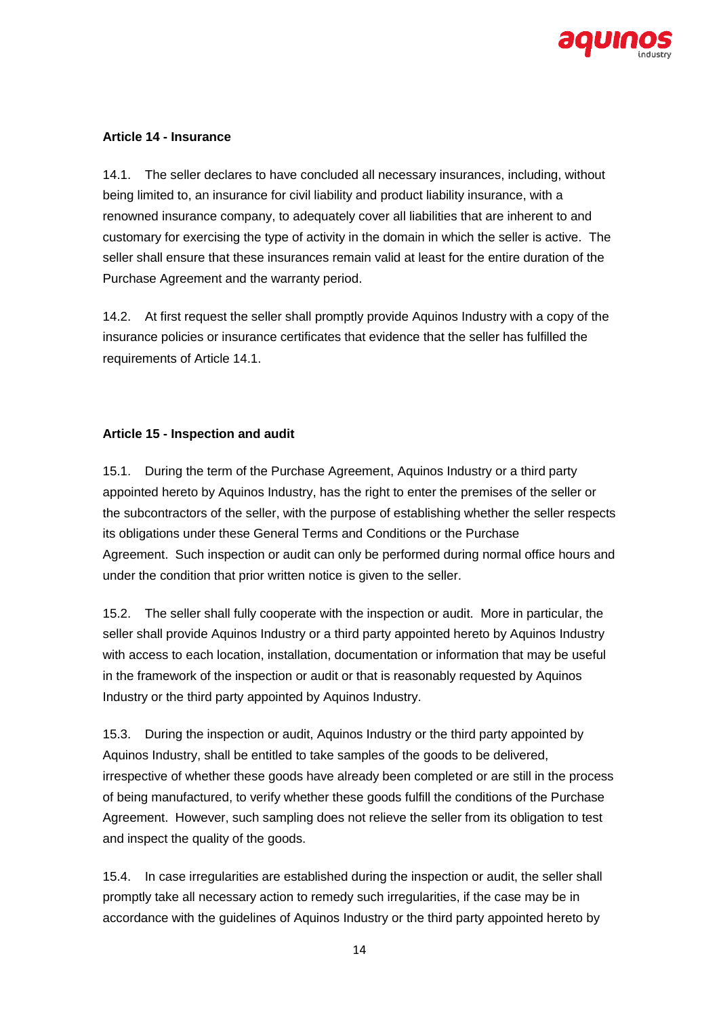

### **Article 14 - Insurance**

14.1. The seller declares to have concluded all necessary insurances, including, without being limited to, an insurance for civil liability and product liability insurance, with a renowned insurance company, to adequately cover all liabilities that are inherent to and customary for exercising the type of activity in the domain in which the seller is active. The seller shall ensure that these insurances remain valid at least for the entire duration of the Purchase Agreement and the warranty period.

14.2. At first request the seller shall promptly provide Aquinos Industry with a copy of the insurance policies or insurance certificates that evidence that the seller has fulfilled the requirements of Article 14.1.

# **Article 15 - Inspection and audit**

15.1. During the term of the Purchase Agreement, Aquinos Industry or a third party appointed hereto by Aquinos Industry, has the right to enter the premises of the seller or the subcontractors of the seller, with the purpose of establishing whether the seller respects its obligations under these General Terms and Conditions or the Purchase Agreement. Such inspection or audit can only be performed during normal office hours and under the condition that prior written notice is given to the seller.

15.2. The seller shall fully cooperate with the inspection or audit. More in particular, the seller shall provide Aquinos Industry or a third party appointed hereto by Aquinos Industry with access to each location, installation, documentation or information that may be useful in the framework of the inspection or audit or that is reasonably requested by Aquinos Industry or the third party appointed by Aquinos Industry.

15.3. During the inspection or audit, Aquinos Industry or the third party appointed by Aquinos Industry, shall be entitled to take samples of the goods to be delivered, irrespective of whether these goods have already been completed or are still in the process of being manufactured, to verify whether these goods fulfill the conditions of the Purchase Agreement. However, such sampling does not relieve the seller from its obligation to test and inspect the quality of the goods.

15.4. In case irregularities are established during the inspection or audit, the seller shall promptly take all necessary action to remedy such irregularities, if the case may be in accordance with the guidelines of Aquinos Industry or the third party appointed hereto by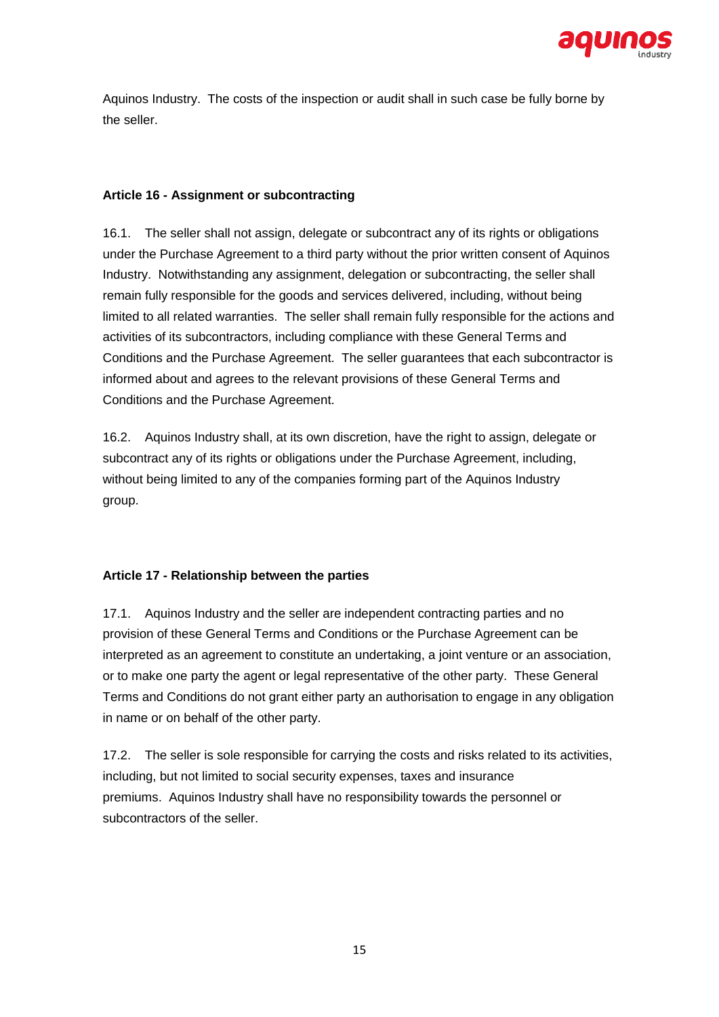

Aquinos Industry. The costs of the inspection or audit shall in such case be fully borne by the seller.

# **Article 16 - Assignment or subcontracting**

16.1. The seller shall not assign, delegate or subcontract any of its rights or obligations under the Purchase Agreement to a third party without the prior written consent of Aquinos Industry. Notwithstanding any assignment, delegation or subcontracting, the seller shall remain fully responsible for the goods and services delivered, including, without being limited to all related warranties. The seller shall remain fully responsible for the actions and activities of its subcontractors, including compliance with these General Terms and Conditions and the Purchase Agreement. The seller guarantees that each subcontractor is informed about and agrees to the relevant provisions of these General Terms and Conditions and the Purchase Agreement.

16.2. Aquinos Industry shall, at its own discretion, have the right to assign, delegate or subcontract any of its rights or obligations under the Purchase Agreement, including, without being limited to any of the companies forming part of the Aquinos Industry group.

# **Article 17 - Relationship between the parties**

17.1. Aquinos Industry and the seller are independent contracting parties and no provision of these General Terms and Conditions or the Purchase Agreement can be interpreted as an agreement to constitute an undertaking, a joint venture or an association, or to make one party the agent or legal representative of the other party. These General Terms and Conditions do not grant either party an authorisation to engage in any obligation in name or on behalf of the other party.

17.2. The seller is sole responsible for carrying the costs and risks related to its activities, including, but not limited to social security expenses, taxes and insurance premiums. Aquinos Industry shall have no responsibility towards the personnel or subcontractors of the seller.